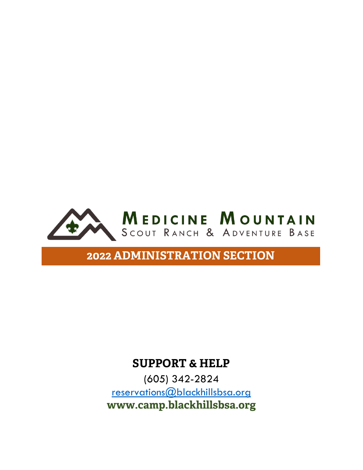

### **SUPPORT & HELP**

(605) 342-2824 [reservations@blackhillsbsa.org](mailto:reservations@blackhillsbsa.org) **www.camp.blackhillsbsa.org**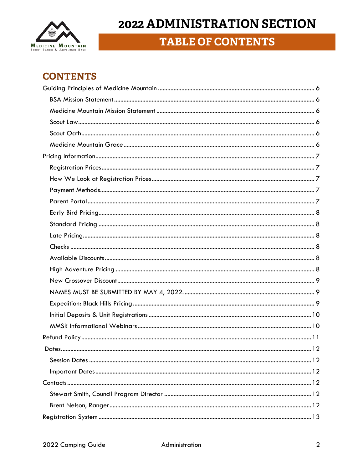

## **TABLE OF CONTENTS**

### **CONTENTS**

| 12 |  |
|----|--|
|    |  |
|    |  |
|    |  |
|    |  |
|    |  |
|    |  |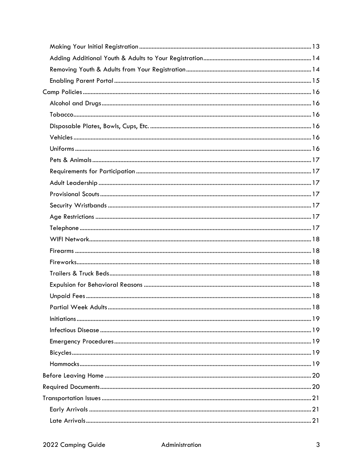| <b>Partial Week Adults.</b><br>18 |  |
|-----------------------------------|--|
|                                   |  |
|                                   |  |
|                                   |  |
|                                   |  |
|                                   |  |
|                                   |  |
|                                   |  |
|                                   |  |
|                                   |  |
|                                   |  |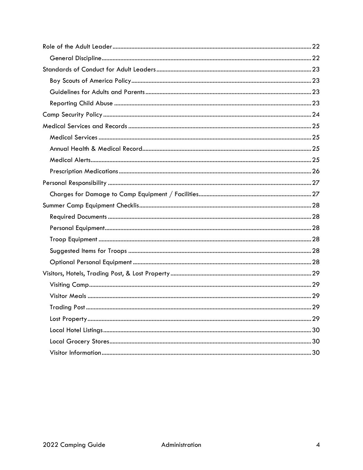| 29<br>Trading Post. |  |
|---------------------|--|
|                     |  |
|                     |  |
|                     |  |
|                     |  |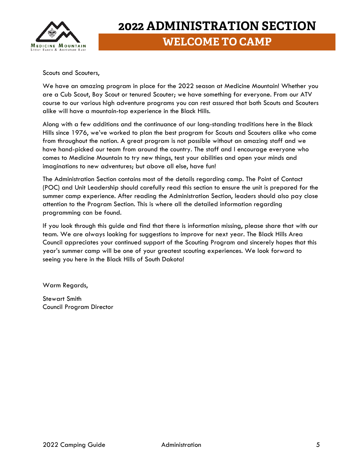

# **2022 ADMINISTRATION SECTION WELCOME TO CAMP**

Scouts and Scouters,

We have an amazing program in place for the 2022 season at Medicine Mountain! Whether you are a Cub Scout, Boy Scout or tenured Scouter; we have something for everyone. From our ATV course to our various high adventure programs you can rest assured that both Scouts and Scouters alike will have a mountain-top experience in the Black Hills.

Along with a few additions and the continuance of our long-standing traditions here in the Black Hills since 1976, we've worked to plan the best program for Scouts and Scouters alike who come from throughout the nation. A great program is not possible without an amazing staff and we have hand-picked our team from around the country. The staff and I encourage everyone who comes to Medicine Mountain to try new things, test your abilities and open your minds and imaginations to new adventures; but above all else, have fun!

The Administration Section contains most of the details regarding camp. The Point of Contact (POC) and Unit Leadership should carefully read this section to ensure the unit is prepared for the summer camp experience. After reading the Administration Section, leaders should also pay close attention to the Program Section. This is where all the detailed information regarding programming can be found.

If you look through this guide and find that there is information missing, please share that with our team. We are always looking for suggestions to improve for next year. The Black Hills Area Council appreciates your continued support of the Scouting Program and sincerely hopes that this year's summer camp will be one of your greatest scouting experiences. We look forward to seeing you here in the Black Hills of South Dakota!

Warm Regards,

Stewart Smith Council Program Director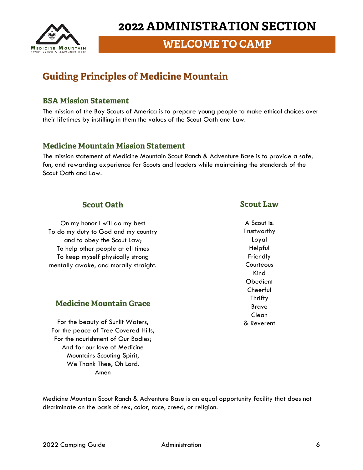

### **WELCOME TO CAMP**

## <span id="page-5-0"></span>**Guiding Principles of Medicine Mountain**

#### <span id="page-5-1"></span>**BSA Mission Statement**

The mission of the Boy Scouts of America is to prepare young people to make ethical choices over their lifetimes by instilling in them the values of the Scout Oath and Law.

#### <span id="page-5-2"></span>**Medicine Mountain Mission Statement**

The mission statement of Medicine Mountain Scout Ranch & Adventure Base is to provide a safe, fun, and rewarding experience for Scouts and leaders while maintaining the standards of the Scout Oath and Law.

#### **Scout Oath**

On my honor I will do my best To do my duty to God and my country and to obey the Scout Law; To help other people at all times To keep myself physically strong mentally awake, and morally straight.

#### **Medicine Mountain Grace**

For the beauty of Sunlit Waters, For the peace of Tree Covered Hills, For the nourishment of Our Bodies; And for our love of Medicine Mountains Scouting Spirit, We Thank Thee, Oh Lord. Amen

#### **Scout Law**

A Scout is: **Trustworthy** Loyal Helpful Friendly **Courteous** Kind Obedient **Cheerful Thrifty** Brave Clean & Reverent

Medicine Mountain Scout Ranch & Adventure Base is an equal opportunity facility that does not discriminate on the basis of sex, color, race, creed, or religion.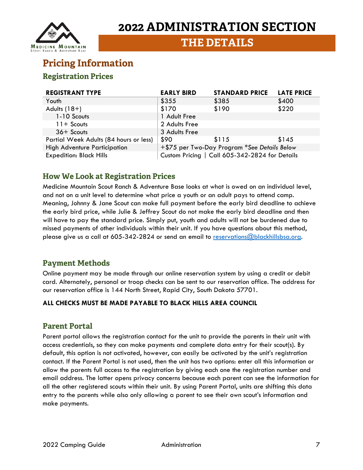

**THE DETAILS**

### <span id="page-6-0"></span>**Pricing Information**

#### <span id="page-6-1"></span>**Registration Prices**

| <b>REGISTRANT TYPE</b>                 | <b>EARLY BIRD</b> | <b>STANDARD PRICE</b>                          | <b>LATE PRICE</b> |
|----------------------------------------|-------------------|------------------------------------------------|-------------------|
| Youth                                  | \$355             | \$385                                          | \$400             |
| Adults $(18+)$                         | \$170             | \$190                                          | \$220             |
| 1-10 Scouts                            | 1 Adult Free      |                                                |                   |
| $11 +$ Scouts                          | 2 Adults Free     |                                                |                   |
| $36+$ Scouts                           | 3 Adults Free     |                                                |                   |
| Partial Week Adults (84 hours or less) | \$90              | \$115                                          | \$145             |
| <b>High Adventure Participation</b>    |                   | +\$75 per Two-Day Program *See Details Below   |                   |
| <b>Expedition: Black Hills</b>         |                   | Custom Pricing   Call 605-342-2824 for Details |                   |

#### <span id="page-6-2"></span>**How We Look at Registration Prices**

Medicine Mountain Scout Ranch & Adventure Base looks at what is owed on an individual level, and not on a unit level to determine what price a youth or an adult pays to attend camp. Meaning, Johnny & Jane Scout can make full payment before the early bird deadline to achieve the early bird price, while Julie & Jeffrey Scout do not make the early bird deadline and then will have to pay the standard price. Simply put, youth and adults will not be burdened due to missed payments of other individuals within their unit. If you have questions about this method, please give us a call at 605-342-2824 or send an email to [reservations@blackhillsbsa.org.](mailto:reservations@blackhillsbsa.org)

#### <span id="page-6-3"></span>**Payment Methods**

Online payment may be made through our online reservation system by using a credit or debit card. Alternately, personal or troop checks can be sent to our reservation office. The address for our reservation office is 144 North Street, Rapid City, South Dakota 57701.

#### **ALL CHECKS MUST BE MADE PAYABLE TO BLACK HILLS AREA COUNCIL**

#### <span id="page-6-4"></span>**Parent Portal**

Parent portal allows the registration contact for the unit to provide the parents in their unit with access credentials, so they can make payments and complete data entry for their scout(s). By default, this option is not activated, however, can easily be activated by the unit's registration contact. If the Parent Portal is not used, then the unit has two options: enter all this information or allow the parents full access to the registration by giving each one the registration number and email address. The latter opens privacy concerns because each parent can see the information for all the other registered scouts within their unit. By using Parent Portal, units are shifting this data entry to the parents while also only allowing a parent to see their own scout's information and make payments.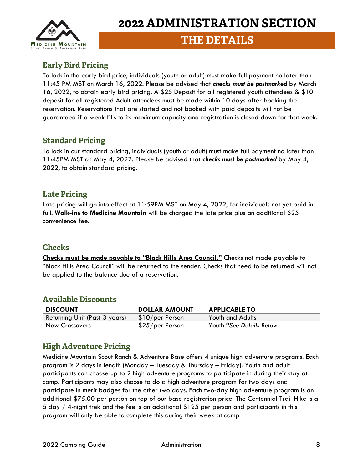

### **THE DETAILS**

#### <span id="page-7-0"></span>**Early Bird Pricing**

To lock in the early bird price, individuals (youth or adult) must make full payment no later than 11:45 PM MST on March 16, 2022. Please be advised that *checks must be postmarked* by March 16, 2022, to obtain early bird pricing. A \$25 Deposit for all registered youth attendees & \$10 deposit for all registered Adult attendees must be made within 10 days after booking the reservation. Reservations that are started and not booked with paid deposits will not be guaranteed if a week fills to its maximum capacity and registration is closed down for that week.

#### <span id="page-7-1"></span>**Standard Pricing**

To lock in our standard pricing, individuals (youth or adult) must make full payment no later than 11:45PM MST on May 4, 2022. Please be advised that *checks must be postmarked* by May 4, 2022, to obtain standard pricing.

#### <span id="page-7-2"></span>**Late Pricing**

Late pricing will go into effect at 11:59PM MST on May 4, 2022, for individuals not yet paid in full. **Walk-ins to Medicine Mountain** will be charged the late price plus an additional \$25 convenience fee.

#### <span id="page-7-3"></span>**Checks**

**Checks must be made payable to "Black Hills Area Council."** Checks not made payable to "Black Hills Area Council" will be returned to the sender. Checks that need to be returned will not be applied to the balance due of a reservation.

#### <span id="page-7-4"></span>**Available Discounts**

| <b>DISCOUNT</b>               | <b>DOLLAR AMOUNT</b>          | <b>APPLICABLE TO</b>     |
|-------------------------------|-------------------------------|--------------------------|
| Returning Unit (Past 3 years) | $\frac{1}{2}$ \$10/per Person | Youth and Adults         |
| New Crossovers                | $\frac{1}{2}$ \$25/per Person | Youth *See Details Below |

#### <span id="page-7-5"></span>**High Adventure Pricing**

Medicine Mountain Scout Ranch & Adventure Base offers 4 unique high adventure programs. Each program is 2 days in length (Monday – Tuesday & Thursday – Friday). Youth and adult participants can choose up to 2 high adventure programs to participate in during their stay at camp. Participants may also choose to do a high adventure program for two days and participate in merit badges for the other two days. Each two-day high adventure program is an additional \$75.00 per person on top of our base registration price. The Centennial Trail Hike is a 5 day / 4-night trek and the fee is an additional \$125 per person and participants in this program will only be able to complete this during their week at camp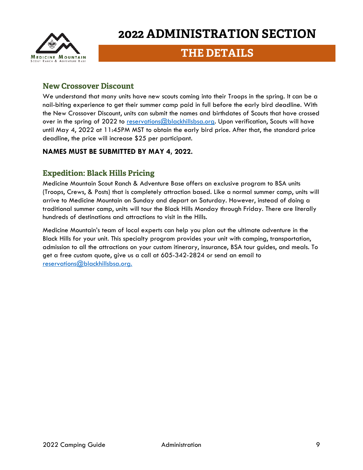

### **THE DETAILS**

#### <span id="page-8-0"></span>**New Crossover Discount**

We understand that many units have new scouts coming into their Troops in the spring. It can be a nail-biting experience to get their summer camp paid in full before the early bird deadline. With the New Crossover Discount, units can submit the names and birthdates of Scouts that have crossed over in the spring of 2022 to [reservations@blackhillsbsa.org.](mailto:reservations@blackhillsbsa.org) Upon verification, Scouts will have until May 4, 2022 at 11:45PM MST to obtain the early bird price. After that, the standard price deadline, the price will increase \$25 per participant.

#### <span id="page-8-1"></span>**NAMES MUST BE SUBMITTED BY MAY 4, 2022.**

#### <span id="page-8-2"></span>**Expedition: Black Hills Pricing**

Medicine Mountain Scout Ranch & Adventure Base offers an exclusive program to BSA units (Troops, Crews, & Posts) that is completely attraction based. Like a normal summer camp, units will arrive to Medicine Mountain on Sunday and depart on Saturday. However, instead of doing a traditional summer camp, units will tour the Black Hills Monday through Friday. There are literally hundreds of destinations and attractions to visit in the Hills.

Medicine Mountain's team of local experts can help you plan out the ultimate adventure in the Black Hills for your unit. This specialty program provides your unit with camping, transportation, admission to all the attractions on your custom itinerary, insurance, BSA tour guides, and meals. To get a free custom quote, give us a call at 605-342-2824 or send an email to [reservations@blackhillsbsa.org.](mailto:reservations@blackhillsbsa.org)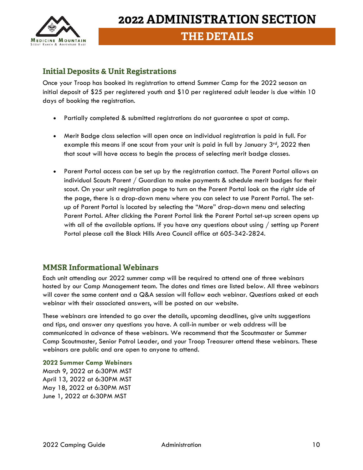

### **THE DETAILS**

#### <span id="page-9-0"></span>**Initial Deposits & Unit Registrations**

Once your Troop has booked its registration to attend Summer Camp for the 2022 season an initial deposit of \$25 per registered youth and \$10 per registered adult leader is due within 10 days of booking the registration.

- Partially completed & submitted registrations do not guarantee a spot at camp.
- Merit Badge class selection will open once an individual registration is paid in full. For example this means if one scout from your unit is paid in full by January  $3<sup>rd</sup>$ , 2022 then that scout will have access to begin the process of selecting merit badge classes.
- Parent Portal access can be set up by the registration contact. The Parent Portal allows an individual Scouts Parent / Guardian to make payments & schedule merit badges for their scout. On your unit registration page to turn on the Parent Portal look on the right side of the page, there is a drop-down menu where you can select to use Parent Portal. The setup of Parent Portal is located by selecting the "More" drop-down menu and selecting Parent Portal. After clicking the Parent Portal link the Parent Portal set-up screen opens up with all of the available options. If you have any questions about using / setting up Parent Portal please call the Black Hills Area Council office at 605-342-2824.

#### <span id="page-9-1"></span>**MMSR Informational Webinars**

Each unit attending our 2022 summer camp will be required to attend one of three webinars hosted by our Camp Management team. The dates and times are listed below. All three webinars will cover the same content and a Q&A session will follow each webinar. Questions asked at each webinar with their associated answers, will be posted on our website.

These webinars are intended to go over the details, upcoming deadlines, give units suggestions and tips, and answer any questions you have. A call-in number or web address will be communicated in advance of these webinars. We recommend that the Scoutmaster or Summer Camp Scoutmaster, Senior Patrol Leader, and your Troop Treasurer attend these webinars. These webinars are public and are open to anyone to attend.

**2022 Summer Camp Webinars** March 9, 2022 at 6:30PM MST April 13, 2022 at 6:30PM MST May 18, 2022 at 6:30PM MST June 1, 2022 at 6:30PM MST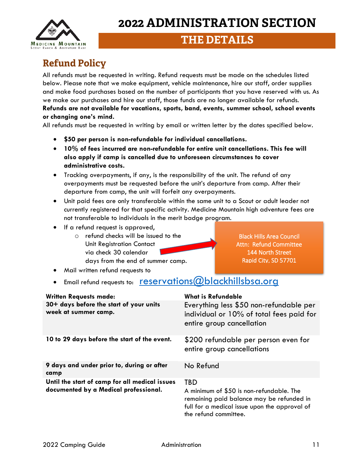$\overline{a}$ **MEDICINE MOUNTAIN** 

# **2022 ADMINISTRATION SECTION**

### **THE DETAILS**

## <span id="page-10-0"></span>**Refund Policy**

All refunds must be requested in writing. Refund requests must be made on the schedules listed below. Please note that we make equipment, vehicle maintenance, hire our staff, order supplies and make food purchases based on the number of participants that you have reserved with us. As we make our purchases and hire our staff, those funds are no longer available for refunds. **Refunds are not available for vacations, sports, band, events, summer school, school events or changing one's mind.**

All refunds must be requested in writing by email or written letter by the dates specified below.

- **\$50 per person is non-refundable for individual cancellations.**
- **10% of fees incurred are non-refundable for entire unit cancellations. This fee will also apply if camp is cancelled due to unforeseen circumstances to cover administrative costs.**
- Tracking overpayments, if any, is the responsibility of the unit. The refund of any overpayments must be requested before the unit's departure from camp. After their departure from camp, the unit will forfeit any overpayments.
- Unit paid fees are only transferable within the same unit to a Scout or adult leader not currently registered for that specific activity. Medicine Mountain high adventure fees are not transferable to individuals in the merit badge program.
- If a refund request is approved,

• Mail written refund requests to

o refund checks will be issued to the Unit Registration Contact via check 30 calendar days from the end of summer camp.

Black Hills Area Council Attn: Refund Committee 144 North Street Rapid City, SD 57701

• Email refund requests to: [reservations@blackhillsbsa.org](mailto:reservations@blackhillsbsa.org)

| <b>Written Requests made:</b>                                                           | <b>What is Refundable</b>                                                                                                                                                     |
|-----------------------------------------------------------------------------------------|-------------------------------------------------------------------------------------------------------------------------------------------------------------------------------|
| 30+ days before the start of your units<br>week at summer camp.                         | Everything less \$50 non-refundable per<br>individual or 10% of total fees paid for<br>entire group cancellation                                                              |
| 10 to 29 days before the start of the event.                                            | \$200 refundable per person even for<br>entire group cancellations                                                                                                            |
| 9 days and under prior to, during or after<br>camp                                      | No Refund                                                                                                                                                                     |
| Until the start of camp for all medical issues<br>documented by a Medical professional. | <b>TBD</b><br>A minimum of \$50 is non-refundable. The<br>remaining paid balance may be refunded in<br>full for a medical issue upon the approval of<br>the refund committee. |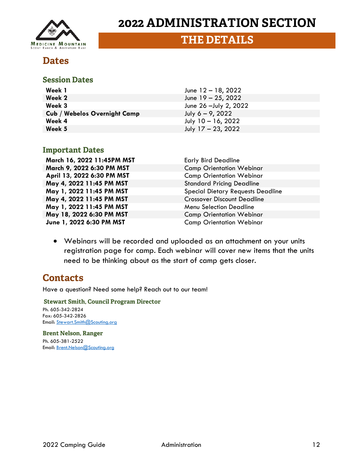

### **THE DETAILS**

### <span id="page-11-0"></span>**Dates**

#### <span id="page-11-1"></span>**Session Dates**

| Week 1                              | June $12 - 18$ , 2022  |
|-------------------------------------|------------------------|
| Week 2                              | June $19 - 25$ , 2022  |
| Week 3                              | June 26 - July 2, 2022 |
| <b>Cub / Webelos Overnight Camp</b> | July $6 - 9$ , 2022    |
| Week 4                              | July $10 - 16$ , 2022  |
| Week 5                              | July $17 - 23$ , 2022  |

#### <span id="page-11-2"></span>**Important Dates**

**March 16, 2022 11:45PM MST** Early Bird Deadline **March 9, 2022 6:30 PM MST** Camp Orientation Webinar **April 13, 2022 6:30 PM MST** Camp Orientation Webinar **May 4, 2022 11:45 PM MST** Standard Pricing Deadline **May 4, 2022 11:45 PM MST** Crossover Discount Deadline **May 1, 2022 11:45 PM MST** Menu Selection Deadline **May 18, 2022 6:30 PM MST**<br> **Starteger Comp Orientation Webinar**<br>
Camp Orientation Webinar

**May 1, 2022 11:45 PM MST** Special Dietary Requests Deadline **Camp Orientation Webinar** 

• Webinars will be recorded and uploaded as an attachment on your units registration page for camp. Each webinar will cover new items that the units need to be thinking about as the start of camp gets closer.

### <span id="page-11-3"></span>**Contacts**

Have a question? Need some help? Reach out to our team!

<span id="page-11-4"></span>**Stewart Smith, Council Program Director** Ph. 605-342-2824 Fax: 605-342-2826 Email: [Stewart.Smith@Scouting.org](mailto:Stewart.Smith@Scouting.org)

<span id="page-11-5"></span>**Brent Nelson, Ranger** Ph. 605-381-2522 Email: [Brent.Nelson@Scouting.org](mailto:Brent.Nelson@Scouting.org)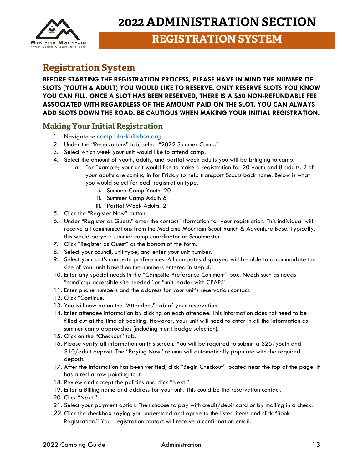

### **REGISTRATION SYSTEM**

### <span id="page-12-0"></span>**Registration System**

**BEFORE STARTING THE REGISTRATION PROCESS, PLEASE HAVE IN MIND THE NUMBER OF SLOTS (YOUTH & ADULT) YOU WOULD LIKE TO RESERVE. ONLY RESERVE SLOTS YOU KNOW YOU CAN FILL. ONCE A SLOT HAS BEEN RESERVED, THERE IS A \$50 NON-REFUNDABLE FEE ASSOCIATED WITH REGARDLESS OF THE AMOUNT PAID ON THE SLOT. YOU CAN ALWAYS ADD SLOTS DOWN THE ROAD. BE CAUTIOUS WHEN MAKING YOUR INITIAL REGISTRATION.**

#### <span id="page-12-1"></span>**Making Your Initial Registration**

- 1. Navigate to [camp.blackhillsbsa.org](https://camp.blackhillsbsa.org/)
- 2. Under the "Reservations" tab, select "2022 Summer Camp."
- 3. Select which week your unit would like to attend camp.
- 4. Select the amount of youth, adults, and partial week adults you will be bringing to camp.
	- a. For Example; your unit would like to make a registration for 20 youth and 8 adults. 2 of your adults are coming in for Friday to help transport Scouts back home. Below is what you would select for each registration type.
		- i. Summer Camp Youth: 20
		- ii. Summer Camp Adult: 6
		- iii. Partial Week Adults: 2
- 5. Click the "Register Now" button.
- 6. Under "Register as Guest," enter the contact information for your registration. This individual will receive all communications from the Medicine Mountain Scout Ranch & Adventure Base. Typically, this would be your summer camp coordinator or Scoutmaster.
- 7. Click "Register as Guest" at the bottom of the form.
- 8. Select your council, unit type, and enter your unit number.
- 9. Select your unit's campsite preferences. All campsites displayed will be able to accommodate the size of your unit based on the numbers entered in step 4.
- 10. Enter any special needs in the "Campsite Preference Comment" box. Needs such as needs "handicap accessible site needed" or "unit leader with CPAP."
- 11. Enter phone numbers and the address for your unit's reservation contact.
- 12. Click "Continue."
- 13. You will now be on the "Attendees" tab of your reservation.
- 14. Enter attendee information by clicking on each attendee. This information does not need to be filled out at the time of booking. However, your unit will need to enter in all the information as summer camp approaches (including merit badge selection).
- 15. Click on the "Checkout" tab.
- 16. Please verify all information on this screen. You will be required to submit a \$25/youth and \$10/adult deposit. The "Paying Now" column will automatically populate with the required deposit.
- 17. After the information has been verified, click "Begin Checkout" located near the top of the page. It has a red arrow pointing to it.
- 18. Review and accept the policies and click "Next."
- 19. Enter a Billing name and address for your unit. This could be the reservation contact.
- 20. Click "Next."
- 21. Select your payment option. Then choose to pay with credit/debit card or by mailing in a check.
- 22. Click the checkbox saying you understand and agree to the listed items and click "Book Registration." Your registration contact will receive a confirmation email.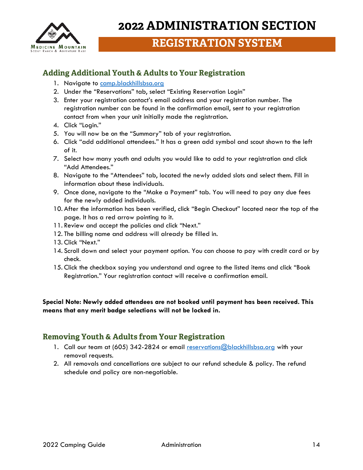

### **REGISTRATION SYSTEM**

#### <span id="page-13-0"></span>**Adding Additional Youth & Adults to Your Registration**

- 1. Navigate to [camp.blackhillsbsa.org](https://camp.blackhillsbsa.org/)
- 2. Under the "Reservations" tab, select "Existing Reservation Login"
- 3. Enter your registration contact's email address and your registration number. The registration number can be found in the confirmation email, sent to your registration contact from when your unit initially made the registration.
- 4. Click "Login."
- 5. You will now be on the "Summary" tab of your registration.
- 6. Click "add additional attendees." It has a green add symbol and scout shown to the left of it.
- 7. Select how many youth and adults you would like to add to your registration and click "Add Attendees."
- 8. Navigate to the "Attendees" tab, located the newly added slots and select them. Fill in information about these individuals.
- 9. Once done, navigate to the "Make a Payment" tab. You will need to pay any due fees for the newly added individuals.
- 10. After the information has been verified, click "Begin Checkout" located near the top of the page. It has a red arrow pointing to it.
- 11. Review and accept the policies and click "Next."
- 12. The billing name and address will already be filled in.
- 13. Click "Next."
- 14. Scroll down and select your payment option. You can choose to pay with credit card or by check.
- 15. Click the checkbox saying you understand and agree to the listed items and click "Book Registration." Your registration contact will receive a confirmation email.

**Special Note: Newly added attendees are not booked until payment has been received. This means that any merit badge selections will not be locked in.**

#### <span id="page-13-1"></span>**Removing Youth & Adults from Your Registration**

- 1. Call our team at (605) 342-2824 or email [reservations@blackhillsbsa.org](mailto:reservations@blackhillsbsa.org) with your removal requests.
- 2. All removals and cancellations are subject to our refund schedule & policy. The refund schedule and policy are non-negotiable.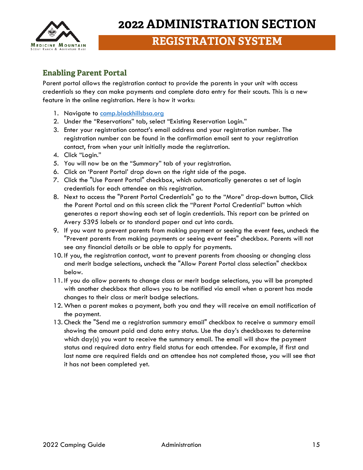

## **REGISTRATION SYSTEM**

#### <span id="page-14-0"></span>**Enabling Parent Portal**

Parent portal allows the registration contact to provide the parents in your unit with access credentials so they can make payments and complete data entry for their scouts. This is a new feature in the online registration. Here is how it works:

- 1. Navigate to [camp.blackhillsbsa.org](https://camp.blackhillsbsa.org/)
- 2. Under the "Reservations" tab, select "Existing Reservation Login."
- 3. Enter your registration contact's email address and your registration number. The registration number can be found in the confirmation email sent to your registration contact, from when your unit initially made the registration.
- 4. Click "Login."
- 5. You will now be on the "Summary" tab of your registration.
- 6. Click on 'Parent Portal' drop down on the right side of the page.
- 7. Click the "Use Parent Portal" checkbox, which automatically generates a set of login credentials for each attendee on this registration.
- 8. Next to access the "Parent Portal Credentials" go to the "More" drop-down button, Click the Parent Portal and on this screen click the "Parent Portal Credential" button which generates a report showing each set of login credentials. This report can be printed on Avery 5395 labels or to standard paper and cut into cards.
- 9. If you want to prevent parents from making payment or seeing the event fees, uncheck the "Prevent parents from making payments or seeing event fees" checkbox. Parents will not see any financial details or be able to apply for payments.
- 10. If you, the registration contact, want to prevent parents from choosing or changing class and merit badge selections, uncheck the "Allow Parent Portal class selection" checkbox below.
- 11. If you do allow parents to change class or merit badge selections, you will be prompted with another checkbox that allows you to be notified via email when a parent has made changes to their class or merit badge selections.
- 12. When a parent makes a payment, both you and they will receive an email notification of the payment.
- 13. Check the "Send me a registration summary email" checkbox to receive a summary email showing the amount paid and data entry status. Use the day's checkboxes to determine which day(s) you want to receive the summary email. The email will show the payment status and required data entry field status for each attendee. For example, if first and last name are required fields and an attendee has not completed those, you will see that it has not been completed yet.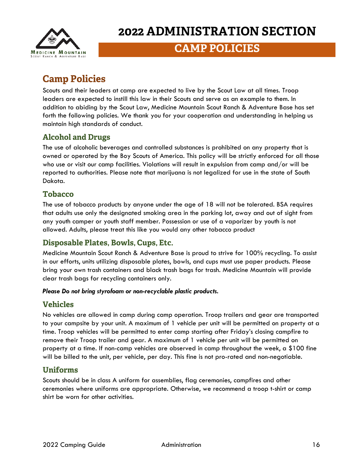

## **CAMP POLICIES**

## <span id="page-15-0"></span>**Camp Policies**

Scouts and their leaders at camp are expected to live by the Scout Law at all times. Troop leaders are expected to instill this law in their Scouts and serve as an example to them. In addition to abiding by the Scout Law, Medicine Mountain Scout Ranch & Adventure Base has set forth the following policies. We thank you for your cooperation and understanding in helping us maintain high standards of conduct.

#### <span id="page-15-1"></span>**Alcohol and Drugs**

The use of alcoholic beverages and controlled substances is prohibited on any property that is owned or operated by the Boy Scouts of America. This policy will be strictly enforced for all those who use or visit our camp facilities. Violations will result in expulsion from camp and/or will be reported to authorities. Please note that marijuana is not legalized for use in the state of South Dakota.

#### <span id="page-15-2"></span>**Tobacco**

The use of tobacco products by anyone under the age of 18 will not be tolerated. BSA requires that adults use only the designated smoking area in the parking lot, away and out of sight from any youth camper or youth staff member. Possession or use of a vaporizer by youth is not allowed. Adults, please treat this like you would any other tobacco product

#### <span id="page-15-3"></span>**Disposable Plates, Bowls, Cups, Etc.**

Medicine Mountain Scout Ranch & Adventure Base is proud to strive for 100% recycling. To assist in our efforts, units utilizing disposable plates, bowls, and cups must use paper products. Please bring your own trash containers and black trash bags for trash. Medicine Mountain will provide clear trash bags for recycling containers only.

#### *Please Do not bring styrofoam or non-recyclable plastic products.*

#### <span id="page-15-4"></span>**Vehicles**

No vehicles are allowed in camp during camp operation. Troop trailers and gear are transported to your campsite by your unit. A maximum of 1 vehicle per unit will be permitted on property at a time. Troop vehicles will be permitted to enter camp starting after Friday's closing campfire to remove their Troop trailer and gear. A maximum of 1 vehicle per unit will be permitted on property at a time. If non-camp vehicles are observed in camp throughout the week, a \$100 fine will be billed to the unit, per vehicle, per day. This fine is not pro-rated and non-negotiable.

#### <span id="page-15-5"></span>**Uniforms**

Scouts should be in class A uniform for assemblies, flag ceremonies, campfires and other ceremonies where uniforms are appropriate. Otherwise, we recommend a troop t-shirt or camp shirt be worn for other activities.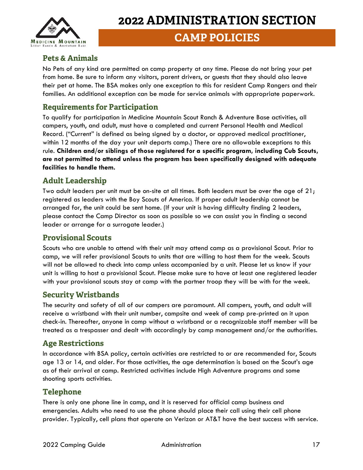

### **CAMP POLICIES**

#### <span id="page-16-0"></span>**Pets & Animals**

No Pets of any kind are permitted on camp property at any time. Please do not bring your pet from home. Be sure to inform any visitors, parent drivers, or guests that they should also leave their pet at home. The BSA makes only one exception to this for resident Camp Rangers and their families. An additional exception can be made for service animals with appropriate paperwork.

#### <span id="page-16-1"></span>**Requirements for Participation**

To qualify for participation in Medicine Mountain Scout Ranch & Adventure Base activities, all campers, youth, and adult, must have a completed and current Personal Health and Medical Record. ("Current" is defined as being signed by a doctor, or approved medical practitioner, within 12 months of the day your unit departs camp.) There are no allowable exceptions to this rule. **Children and/or siblings of those registered for a specific program, including Cub Scouts, are not permitted to attend unless the program has been specifically designed with adequate facilities to handle them.**

#### <span id="page-16-2"></span>**Adult Leadership**

Two adult leaders per unit must be on-site at all times. Both leaders must be over the age of 21; registered as leaders with the Boy Scouts of America. If proper adult leadership cannot be arranged for, the unit could be sent home. (If your unit is having difficulty finding 2 leaders, please contact the Camp Director as soon as possible so we can assist you in finding a second leader or arrange for a surrogate leader.)

#### <span id="page-16-3"></span>**Provisional Scouts**

Scouts who are unable to attend with their unit may attend camp as a provisional Scout. Prior to camp, we will refer provisional Scouts to units that are willing to host them for the week. Scouts will not be allowed to check into camp unless accompanied by a unit. Please let us know if your unit is willing to host a provisional Scout. Please make sure to have at least one registered leader with your provisional scouts stay at camp with the partner troop they will be with for the week.

#### <span id="page-16-4"></span>**Security Wristbands**

The security and safety of all of our campers are paramount. All campers, youth, and adult will receive a wristband with their unit number, campsite and week of camp pre-printed on it upon check-in. Thereafter, anyone in camp without a wristband or a recognizable staff member will be treated as a trespasser and dealt with accordingly by camp management and/or the authorities.

#### <span id="page-16-5"></span>**Age Restrictions**

In accordance with BSA policy, certain activities are restricted to or are recommended for, Scouts age 13 or 14, and older. For those activities, the age determination is based on the Scout's age as of their arrival at camp. Restricted activities include High Adventure programs and some shooting sports activities.

#### <span id="page-16-6"></span>**Telephone**

There is only one phone line in camp, and it is reserved for official camp business and emergencies. Adults who need to use the phone should place their call using their cell phone provider. Typically, cell plans that operate on Verizon or AT&T have the best success with service.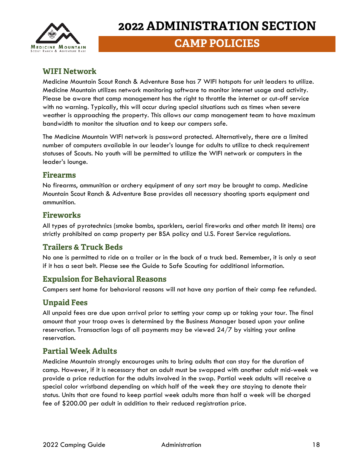

### **CAMP POLICIES**

#### <span id="page-17-0"></span>**WIFI Network**

Medicine Mountain Scout Ranch & Adventure Base has 7 WIFI hotspots for unit leaders to utilize. Medicine Mountain utilizes network monitoring software to monitor internet usage and activity. Please be aware that camp management has the right to throttle the internet or cut-off service with no warning. Typically, this will occur during special situations such as times when severe weather is approaching the property. This allows our camp management team to have maximum bandwidth to monitor the situation and to keep our campers safe.

The Medicine Mountain WIFI network is password protected. Alternatively, there are a limited number of computers available in our leader's lounge for adults to utilize to check requirement statuses of Scouts. No youth will be permitted to utilize the WIFI network or computers in the leader's lounge.

#### <span id="page-17-1"></span>**Firearms**

No firearms, ammunition or archery equipment of any sort may be brought to camp. Medicine Mountain Scout Ranch & Adventure Base provides all necessary shooting sports equipment and ammunition.

#### <span id="page-17-2"></span>**Fireworks**

All types of pyrotechnics (smoke bombs, sparklers, aerial fireworks and other match lit items) are strictly prohibited on camp property per BSA policy and U.S. Forest Service regulations.

#### <span id="page-17-3"></span>**Trailers & Truck Beds**

No one is permitted to ride on a trailer or in the back of a truck bed. Remember, it is only a seat if it has a seat belt. Please see the Guide to Safe Scouting for additional information.

#### <span id="page-17-4"></span>**Expulsion for Behavioral Reasons**

Campers sent home for behavioral reasons will not have any portion of their camp fee refunded.

#### <span id="page-17-5"></span>**Unpaid Fees**

All unpaid fees are due upon arrival prior to setting your camp up or taking your tour. The final amount that your troop owes is determined by the Business Manager based upon your online reservation. Transaction logs of all payments may be viewed 24/7 by visiting your online reservation.

#### <span id="page-17-6"></span>**Partial Week Adults**

Medicine Mountain strongly encourages units to bring adults that can stay for the duration of camp. However, if it is necessary that an adult must be swapped with another adult mid-week we provide a price reduction for the adults involved in the swap. Partial week adults will receive a special color wristband depending on which half of the week they are staying to denote their status. Units that are found to keep partial week adults more than half a week will be charged fee of \$200.00 per adult in addition to their reduced registration price.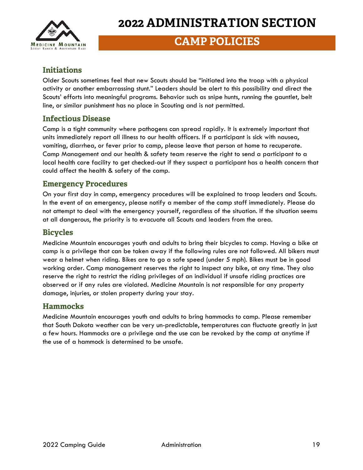

### **CAMP POLICIES**

#### <span id="page-18-0"></span>**Initiations**

Older Scouts sometimes feel that new Scouts should be "initiated into the troop with a physical activity or another embarrassing stunt." Leaders should be alert to this possibility and direct the Scouts' efforts into meaningful programs. Behavior such as snipe hunts, running the gauntlet, belt line, or similar punishment has no place in Scouting and is not permitted.

#### <span id="page-18-1"></span>**Infectious Disease**

Camp is a tight community where pathogens can spread rapidly. It is extremely important that units immediately report all illness to our health officers. If a participant is sick with nausea, vomiting, diarrhea, or fever prior to camp, please leave that person at home to recuperate. Camp Management and our health & safety team reserve the right to send a participant to a local health care facility to get checked-out if they suspect a participant has a health concern that could affect the health & safety of the camp.

#### <span id="page-18-2"></span>**Emergency Procedures**

On your first day in camp, emergency procedures will be explained to troop leaders and Scouts. In the event of an emergency, please notify a member of the camp staff immediately. Please do not attempt to deal with the emergency yourself, regardless of the situation. If the situation seems at all dangerous, the priority is to evacuate all Scouts and leaders from the area.

#### <span id="page-18-3"></span>**Bicycles**

Medicine Mountain encourages youth and adults to bring their bicycles to camp. Having a bike at camp is a privilege that can be taken away if the following rules are not followed. All bikers must wear a helmet when riding. Bikes are to go a safe speed (under 5 mph). Bikes must be in good working order. Camp management reserves the right to inspect any bike, at any time. They also reserve the right to restrict the riding privileges of an individual if unsafe riding practices are observed or if any rules are violated. Medicine Mountain is not responsible for any property damage, injuries, or stolen property during your stay.

#### <span id="page-18-4"></span>**Hammocks**

Medicine Mountain encourages youth and adults to bring hammocks to camp. Please remember that South Dakota weather can be very un-predictable, temperatures can fluctuate greatly in just a few hours. Hammocks are a privilege and the use can be revoked by the camp at anytime if the use of a hammock is determined to be unsafe.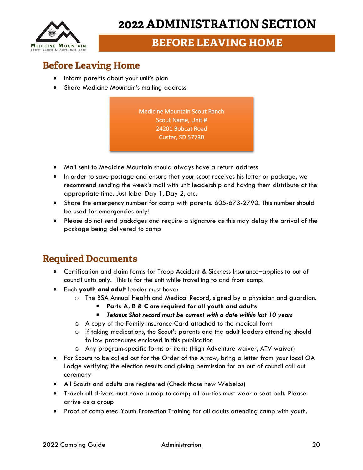

## **BEFORE LEAVING HOME**

## <span id="page-19-0"></span>**Before Leaving Home**

- Inform parents about your unit's plan
- Share Medicine Mountain's mailing address

Medicine Mountain Scout Ranch Scout Name, Unit # 24201 Bobcat Road Custer, SD 57730

- Mail sent to Medicine Mountain should always have a return address
- In order to save postage and ensure that your scout receives his letter or package, we recommend sending the week's mail with unit leadership and having them distribute at the appropriate time. Just label Day 1, Day 2, etc.
- Share the emergency number for camp with parents. 605-673-2790. This number should be used for emergencies only!
- Please do not send packages and require a signature as this may delay the arrival of the package being delivered to camp

### <span id="page-19-1"></span>**Required Documents**

- Certification and claim forms for Troop Accident & Sickness Insurance–applies to out of council units only. This is for the unit while travelling to and from camp.
- Each **youth and adult** leader must have:
	- o The BSA Annual Health and Medical Record, signed by a physician and guardian.
		- **Parts A, B & C are required for all youth and adults**
		- *Tetanus Shot record must be current with a date within last 10 years*
	- o A copy of the Family Insurance Card attached to the medical form
	- o If taking medications, the Scout's parents and the adult leaders attending should follow procedures enclosed in this publication
	- o Any program-specific forms or items (High Adventure waiver, ATV waiver)
- For Scouts to be called out for the Order of the Arrow, bring a letter from your local OA Lodge verifying the election results and giving permission for an out of council call out ceremony
- All Scouts and adults are registered (Check those new Webelos)
- Travel: all drivers must have a map to camp; all parties must wear a seat belt. Please arrive as a group
- Proof of completed Youth Protection Training for all adults attending camp with youth.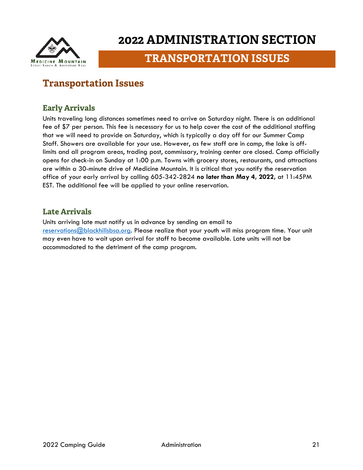

## **TRANSPORTATION ISSUES**

### <span id="page-20-0"></span>**Transportation Issues**

#### <span id="page-20-1"></span>**Early Arrivals**

Units traveling long distances sometimes need to arrive on Saturday night. There is an additional fee of \$7 per person. This fee is necessary for us to help cover the cost of the additional staffing that we will need to provide on Saturday, which is typically a day off for our Summer Camp Staff. Showers are available for your use. However, as few staff are in camp, the lake is offlimits and all program areas, trading post, commissary, training center are closed. Camp officially opens for check-in on Sunday at 1:00 p.m. Towns with grocery stores, restaurants, and attractions are within a 30-minute drive of Medicine Mountain. It is critical that you notify the reservation office of your early arrival by calling 605-342-2824 **no later than May 4, 2022,** at 11:45PM EST. The additional fee will be applied to your online reservation.

#### <span id="page-20-2"></span>**Late Arrivals**

Units arriving late must notify us in advance by sending an email to [reservations@blackhillsbsa.org.](mailto:reservations@blackhillsbsa.org) Please realize that your youth will miss program time. Your unit may even have to wait upon arrival for staff to become available. Late units will not be accommodated to the detriment of the camp program.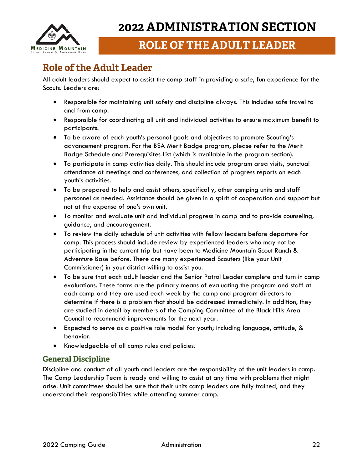

## <span id="page-21-0"></span>**Role of the Adult Leader**

All adult leaders should expect to assist the camp staff in providing a safe, fun experience for the Scouts. Leaders are:

- Responsible for maintaining unit safety and discipline always. This includes safe travel to and from camp.
- Responsible for coordinating all unit and individual activities to ensure maximum benefit to participants.
- To be aware of each youth's personal goals and objectives to promote Scouting's advancement program. For the BSA Merit Badge program, please refer to the Merit Badge Schedule and Prerequisites List (which is available in the program section).
- To participate in camp activities daily. This should include program area visits, punctual attendance at meetings and conferences, and collection of progress reports on each youth's activities.
- To be prepared to help and assist others, specifically, other camping units and staff personnel as needed. Assistance should be given in a spirit of cooperation and support but not at the expense of one's own unit.
- To monitor and evaluate unit and individual progress in camp and to provide counseling, guidance, and encouragement.
- To review the daily schedule of unit activities with fellow leaders before departure for camp. This process should include review by experienced leaders who may not be participating in the current trip but have been to Medicine Mountain Scout Ranch & Adventure Base before. There are many experienced Scouters (like your Unit Commissioner) in your district willing to assist you.
- To be sure that each adult leader and the Senior Patrol Leader complete and turn in camp evaluations. These forms are the primary means of evaluating the program and staff at each camp and they are used each week by the camp and program directors to determine if there is a problem that should be addressed immediately. In addition, they are studied in detail by members of the Camping Committee of the Black Hills Area Council to recommend improvements for the next year.
- Expected to serve as a positive role model for youth; including language, attitude, & behavior.
- Knowledgeable of all camp rules and policies.

#### <span id="page-21-1"></span>**General Discipline**

Discipline and conduct of all youth and leaders are the responsibility of the unit leaders in camp. The Camp Leadership Team is ready and willing to assist at any time with problems that might arise. Unit committees should be sure that their units camp leaders are fully trained, and they understand their responsibilities while attending summer camp.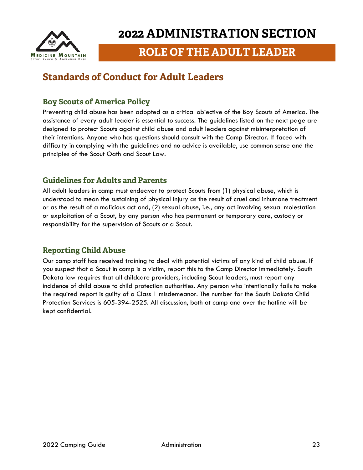

### **ROLE OF THE ADULT LEADER**

### <span id="page-22-0"></span>**Standards of Conduct for Adult Leaders**

#### <span id="page-22-1"></span>**Boy Scouts of America Policy**

Preventing child abuse has been adopted as a critical objective of the Boy Scouts of America. The assistance of every adult leader is essential to success. The guidelines listed on the next page are designed to protect Scouts against child abuse and adult leaders against misinterpretation of their intentions. Anyone who has questions should consult with the Camp Director. If faced with difficulty in complying with the guidelines and no advice is available, use common sense and the principles of the Scout Oath and Scout Law.

#### <span id="page-22-2"></span>**Guidelines for Adults and Parents**

All adult leaders in camp must endeavor to protect Scouts from (1) physical abuse, which is understood to mean the sustaining of physical injury as the result of cruel and inhumane treatment or as the result of a malicious act and, (2) sexual abuse, i.e., any act involving sexual molestation or exploitation of a Scout, by any person who has permanent or temporary care, custody or responsibility for the supervision of Scouts or a Scout.

#### <span id="page-22-3"></span>**Reporting Child Abuse**

Our camp staff has received training to deal with potential victims of any kind of child abuse. If you suspect that a Scout in camp is a victim, report this to the Camp Director immediately. South Dakota law requires that all childcare providers, including Scout leaders, must report any incidence of child abuse to child protection authorities. Any person who intentionally fails to make the required report is guilty of a Class 1 misdemeanor. The number for the South Dakota Child Protection Services is 605-394-2525. All discussion, both at camp and over the hotline will be kept confidential.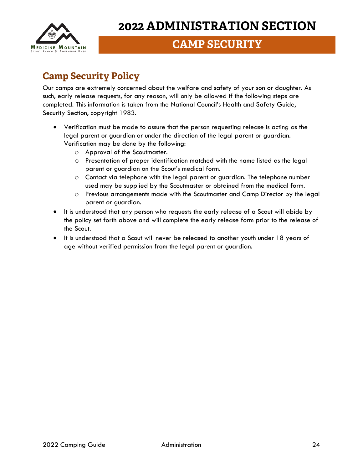

## **CAMP SECURITY**

## <span id="page-23-0"></span>**Camp Security Policy**

Our camps are extremely concerned about the welfare and safety of your son or daughter. As such, early release requests, for any reason, will only be allowed if the following steps are completed. This information is taken from the National Council's Health and Safety Guide, Security Section, copyright 1983.

- Verification must be made to assure that the person requesting release is acting as the legal parent or guardian or under the direction of the legal parent or guardian. Verification may be done by the following:
	- o Approval of the Scoutmaster.
	- o Presentation of proper identification matched with the name listed as the legal parent or guardian on the Scout's medical form.
	- o Contact via telephone with the legal parent or guardian. The telephone number used may be supplied by the Scoutmaster or obtained from the medical form.
	- o Previous arrangements made with the Scoutmaster and Camp Director by the legal parent or guardian.
- It is understood that any person who requests the early release of a Scout will abide by the policy set forth above and will complete the early release form prior to the release of the Scout.
- It is understood that a Scout will never be released to another youth under 18 years of age without verified permission from the legal parent or guardian.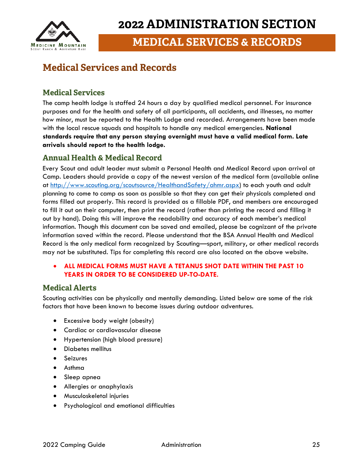

**MEDICAL SERVICES & RECORDS**

### <span id="page-24-0"></span>**Medical Services and Records**

#### <span id="page-24-1"></span>**Medical Services**

The camp health lodge is staffed 24 hours a day by qualified medical personnel. For insurance purposes and for the health and safety of all participants, all accidents, and illnesses, no matter how minor, must be reported to the Health Lodge and recorded. Arrangements have been made with the local rescue squads and hospitals to handle any medical emergencies. **National standards require that any person staying overnight must have a valid medical form. Late arrivals should report to the health lodge.**

#### <span id="page-24-2"></span>**Annual Health & Medical Record**

Every Scout and adult leader must submit a Personal Health and Medical Record upon arrival at Camp. Leaders should provide a copy of the newest version of the medical form (available online at [http://www.scouting.org/scoutsource/HealthandSafety/ahmr.aspx\)](http://www.scouting.org/scoutsource/HealthandSafety/ahmr.aspx) to each youth and adult planning to come to camp as soon as possible so that they can get their physicals completed and forms filled out properly. This record is provided as a fillable PDF, and members are encouraged to fill it out on their computer, then print the record (rather than printing the record and filling it out by hand). Doing this will improve the readability and accuracy of each member's medical information. Though this document can be saved and emailed, please be cognizant of the private information saved within the record. Please understand that the BSA Annual Health and Medical Record is the only medical form recognized by Scouting—sport, military, or other medical records may not be substituted. Tips for completing this record are also located on the above website.

#### • **ALL MEDICAL FORMS MUST HAVE A TETANUS SHOT DATE WITHIN THE PAST 10 YEARS IN ORDER TO BE CONSIDERED UP-TO-DATE.**

#### <span id="page-24-3"></span>**Medical Alerts**

Scouting activities can be physically and mentally demanding. Listed below are some of the risk factors that have been known to become issues during outdoor adventures.

- Excessive body weight (obesity)
- Cardiac or cardiovascular disease
- Hypertension (high blood pressure)
- Diabetes mellitus
- Seizures
- Asthma
- Sleep apnea
- Allergies or anaphylaxis
- Musculoskeletal injuries
- Psychological and emotional difficulties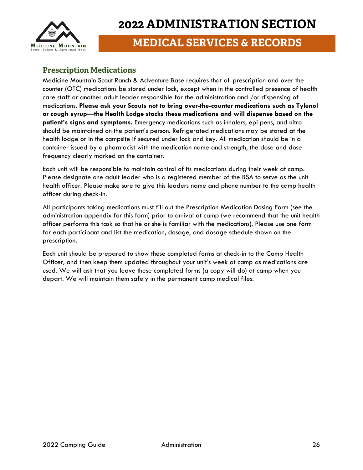

#### <span id="page-25-0"></span>**Prescription Medications**

Medicine Mountain Scout Ranch & Adventure Base requires that all prescription and over the counter (OTC) medications be stored under lock, except when in the controlled presence of health care staff or another adult leader responsible for the administration and /or dispensing of medications. **Please ask your Scouts not to bring over-the-counter medications such as Tylenol or cough syrup—the Health Lodge stocks these medications and will dispense based on the patient's signs and symptoms.** Emergency medications such as inhalers, epi pens, and nitro should be maintained on the patient's person. Refrigerated medications may be stored at the health lodge or in the campsite if secured under lock and key. All medication should be in a container issued by a pharmacist with the medication name and strength, the dose and dose frequency clearly marked on the container.

Each unit will be responsible to maintain control of its medications during their week at camp. Please designate one adult leader who is a registered member of the BSA to serve as the unit health officer. Please make sure to give this leaders name and phone number to the camp health officer during check-in.

All participants taking medications must fill out the Prescription Medication Dosing Form (see the administration appendix for this form) prior to arrival at camp (we recommend that the unit health officer performs this task so that he or she is familiar with the medications). Please use one form for each participant and list the medication, dosage, and dosage schedule shown on the prescription.

Each unit should be prepared to show these completed forms at check-in to the Camp Health Officer, and then keep them updated throughout your unit's week at camp as medications are used. We will ask that you leave these completed forms (a copy will do) at camp when you depart. We will maintain them safely in the permanent camp medical files.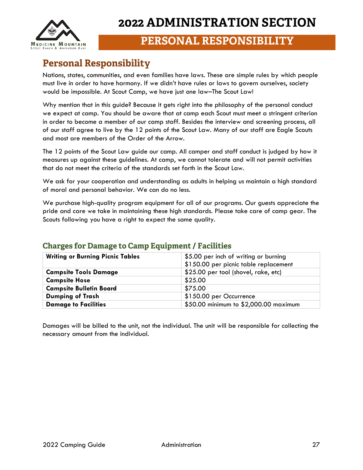

### **PERSONAL RESPONSIBILITY**

### <span id="page-26-0"></span>**Personal Responsibility**

Nations, states, communities, and even families have laws. These are simple rules by which people must live in order to have harmony. If we didn't have rules or laws to govern ourselves, society would be impossible. At Scout Camp, we have just one law–The Scout Law!

Why mention that in this guide? Because it gets right into the philosophy of the personal conduct we expect at camp. You should be aware that at camp each Scout must meet a stringent criterion in order to become a member of our camp staff. Besides the interview and screening process, all of our staff agree to live by the 12 points of the Scout Law. Many of our staff are Eagle Scouts and most are members of the Order of the Arrow.

The 12 points of the Scout Law guide our camp. All camper and staff conduct is judged by how it measures up against these guidelines. At camp, we cannot tolerate and will not permit activities that do not meet the criteria of the standards set forth in the Scout Law.

We ask for your cooperation and understanding as adults in helping us maintain a high standard of moral and personal behavior. We can do no less.

We purchase high-quality program equipment for all of our programs. Our guests appreciate the pride and care we take in maintaining these high standards. Please take care of camp gear. The Scouts following you have a right to expect the same quality.

| <b>Writing or Burning Picnic Tables</b> | \$5.00 per inch of writing or burning<br>\$150.00 per picnic table replacement |  |
|-----------------------------------------|--------------------------------------------------------------------------------|--|
| <b>Campsite Tools Damage</b>            | \$25.00 per tool (shovel, rake, etc)                                           |  |
| <b>Campsite Hose</b>                    | \$25.00                                                                        |  |
| <b>Campsite Bulletin Board</b>          | \$75.00                                                                        |  |
| <b>Dumping of Trash</b>                 | \$150.00 per Occurrence                                                        |  |
| <b>Damage to Facilities</b>             | \$50.00 minimum to \$2,000.00 maximum                                          |  |

#### <span id="page-26-1"></span>**Charges for Damage to Camp Equipment / Facilities**

Damages will be billed to the unit, not the individual. The unit will be responsible for collecting the necessary amount from the individual.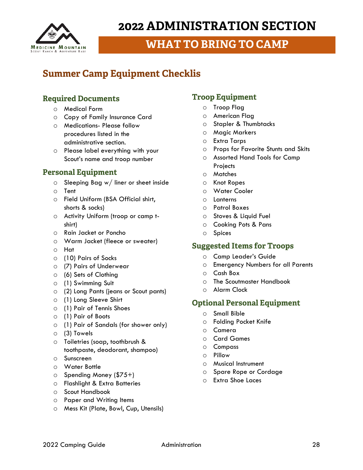

## **WHAT TO BRING TO CAMP**

### <span id="page-27-0"></span>**Summer Camp Equipment Checklis**

#### <span id="page-27-1"></span>**Required Documents**

- o Medical Form
- o Copy of Family Insurance Card
- o Medications- Please follow procedures listed in the administrative section.
- o Please label everything with your Scout's name and troop number

#### <span id="page-27-2"></span>**Personal Equipment**

- o Sleeping Bag w/ liner or sheet inside
- o Tent
- o Field Uniform (BSA Official shirt, shorts & socks)
- o Activity Uniform (troop or camp tshirt)
- o Rain Jacket or Poncho
- o Warm Jacket (fleece or sweater)
- o Hat
- o (10) Pairs of Socks
- o (7) Pairs of Underwear
- o (6) Sets of Clothing
- o (1) Swimming Suit
- o (2) Long Pants (jeans or Scout pants)
- o (1) Long Sleeve Shirt
- o (1) Pair of Tennis Shoes
- o (1) Pair of Boots
- o (1) Pair of Sandals (for shower only)
- o (3) Towels
- o Toiletries (soap, toothbrush & toothpaste, deodorant, shampoo)
- o Sunscreen
- o Water Bottle
- o Spending Money (\$75+)
- o Flashlight & Extra Batteries
- o Scout Handbook
- o Paper and Writing Items
- o Mess Kit (Plate, Bowl, Cup, Utensils)

#### <span id="page-27-3"></span>**Troop Equipment**

- o Troop Flag
- o American Flag
- o Stapler & Thumbtacks
- o Magic Markers
- o Extra Tarps
- o Props for Favorite Stunts and Skits
- o Assorted Hand Tools for Camp **Projects**
- o Matches
- o Knot Ropes
- o Water Cooler
- o Lanterns
- o Patrol Boxes
- o Stoves & Liquid Fuel
- o Cooking Pots & Pans
- o Spices

#### <span id="page-27-4"></span>**Suggested Items for Troops**

- o Camp Leader's Guide
- o Emergency Numbers for all Parents
- o Cash Box
- o The Scoutmaster Handbook
- o Alarm Clock

#### <span id="page-27-5"></span>**Optional Personal Equipment**

- o Small Bible
- o Folding Pocket Knife
- o Camera
- o Card Games
- o Compass
- o Pillow
- o Musical Instrument
- o Spare Rope or Cordage
- o Extra Shoe Laces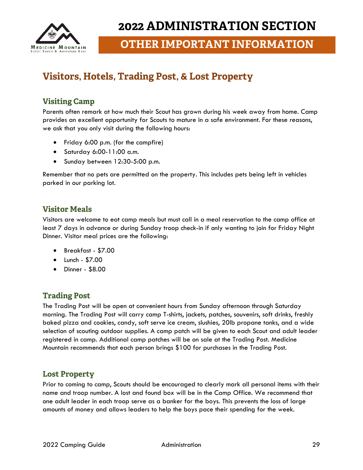

**OTHER IMPORTANT INFORMATION**

## <span id="page-28-0"></span>**Visitors, Hotels, Trading Post, & Lost Property**

#### <span id="page-28-1"></span>**Visiting Camp**

Parents often remark at how much their Scout has grown during his week away from home. Camp provides an excellent opportunity for Scouts to mature in a safe environment. For these reasons, we ask that you only visit during the following hours:

- Friday 6:00 p.m. (for the campfire)
- Saturday 6:00-11:00 a.m.
- Sunday between 12:30-5:00 p.m.

Remember that no pets are permitted on the property. This includes pets being left in vehicles parked in our parking lot.

#### <span id="page-28-2"></span>**Visitor Meals**

Visitors are welcome to eat camp meals but must call in a meal reservation to the camp office at least 7 days in advance or during Sunday troop check-in if only wanting to join for Friday Night Dinner. Visitor meal prices are the following:

- Breakfast \$7.00
- Lunch \$7.00
- Dinner \$8.00

#### <span id="page-28-3"></span>**Trading Post**

The Trading Post will be open at convenient hours from Sunday afternoon through Saturday morning. The Trading Post will carry camp T-shirts, jackets, patches, souvenirs, soft drinks, freshly baked pizza and cookies, candy, soft serve ice cream, slushies, 20lb propane tanks, and a wide selection of scouting outdoor supplies. A camp patch will be given to each Scout and adult leader registered in camp. Additional camp patches will be on sale at the Trading Post. Medicine Mountain recommends that each person brings \$100 for purchases in the Trading Post.

#### <span id="page-28-4"></span>**Lost Property**

Prior to coming to camp, Scouts should be encouraged to clearly mark all personal items with their name and troop number. A lost and found box will be in the Camp Office. We recommend that one adult leader in each troop serve as a banker for the boys. This prevents the loss of large amounts of money and allows leaders to help the boys pace their spending for the week.